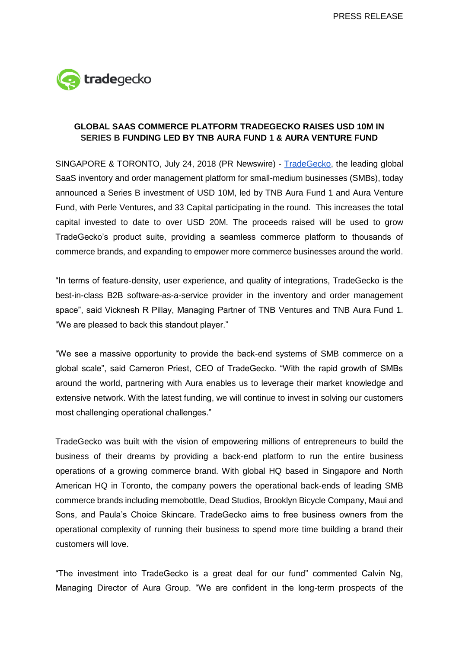

# **GLOBAL SAAS COMMERCE PLATFORM TRADEGECKO RAISES USD 10M IN SERIES B FUNDING LED BY TNB AURA FUND 1 & AURA VENTURE FUND**

SINGAPORE & TORONTO, July 24, 2018 (PR Newswire) - [TradeGecko,](https://www.tradegecko.com/) the leading global SaaS inventory and order management platform for small-medium businesses (SMBs), today announced a Series B investment of USD 10M, led by TNB Aura Fund 1 and Aura Venture Fund, with Perle Ventures, and 33 Capital participating in the round. This increases the total capital invested to date to over USD 20M. The proceeds raised will be used to grow TradeGecko's product suite, providing a seamless commerce platform to thousands of commerce brands, and expanding to empower more commerce businesses around the world.

"In terms of feature-density, user experience, and quality of integrations, TradeGecko is the best-in-class B2B software-as-a-service provider in the inventory and order management space", said Vicknesh R Pillay, Managing Partner of TNB Ventures and TNB Aura Fund 1. "We are pleased to back this standout player."

"We see a massive opportunity to provide the back-end systems of SMB commerce on a global scale", said Cameron Priest, CEO of TradeGecko. "With the rapid growth of SMBs around the world, partnering with Aura enables us to leverage their market knowledge and extensive network. With the latest funding, we will continue to invest in solving our customers most challenging operational challenges."

TradeGecko was built with the vision of empowering millions of entrepreneurs to build the business of their dreams by providing a back-end platform to run the entire business operations of a growing commerce brand. With global HQ based in Singapore and North American HQ in Toronto, the company powers the operational back-ends of leading SMB commerce brands including memobottle, Dead Studios, Brooklyn Bicycle Company, Maui and Sons, and Paula's Choice Skincare. TradeGecko aims to free business owners from the operational complexity of running their business to spend more time building a brand their customers will love.

"The investment into TradeGecko is a great deal for our fund" commented Calvin Ng, Managing Director of Aura Group. "We are confident in the long-term prospects of the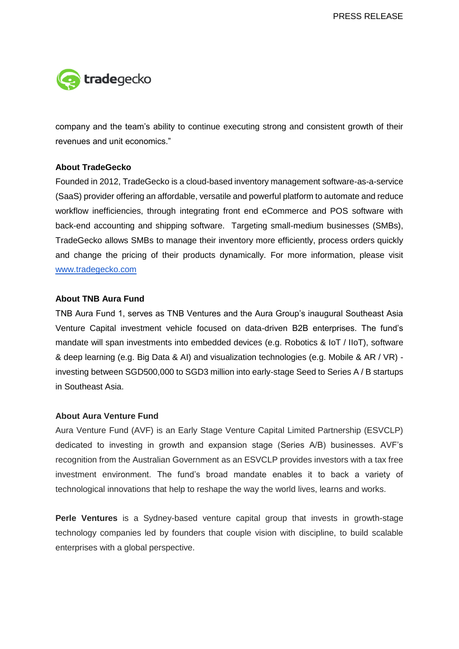

company and the team's ability to continue executing strong and consistent growth of their revenues and unit economics."

### **About TradeGecko**

Founded in 2012, TradeGecko is a cloud-based inventory management software-as-a-service (SaaS) provider offering an affordable, versatile and powerful platform to automate and reduce workflow inefficiencies, through integrating front end eCommerce and POS software with back-end accounting and shipping software. Targeting small-medium businesses (SMBs), TradeGecko allows SMBs to manage their inventory more efficiently, process orders quickly and change the pricing of their products dynamically. For more information, please visit [www.tradegecko.com](http://www.tradegecko.com/)

#### **About TNB Aura Fund**

TNB Aura Fund 1, serves as TNB Ventures and the Aura Group's inaugural Southeast Asia Venture Capital investment vehicle focused on data-driven B2B enterprises. The fund's mandate will span investments into embedded devices (e.g. Robotics & IoT / IIoT), software & deep learning (e.g. Big Data & AI) and visualization technologies (e.g. Mobile & AR / VR) investing between SGD500,000 to SGD3 million into early-stage Seed to Series A / B startups in Southeast Asia.

#### **About Aura Venture Fund**

Aura Venture Fund (AVF) is an Early Stage Venture Capital Limited Partnership (ESVCLP) dedicated to investing in growth and expansion stage (Series A/B) businesses. AVF's recognition from the Australian Government as an ESVCLP provides investors with a tax free investment environment. The fund's broad mandate enables it to back a variety of technological innovations that help to reshape the way the world lives, learns and works.

**Perle Ventures** is a Sydney-based venture capital group that invests in growth-stage technology companies led by founders that couple vision with discipline, to build scalable enterprises with a global perspective.